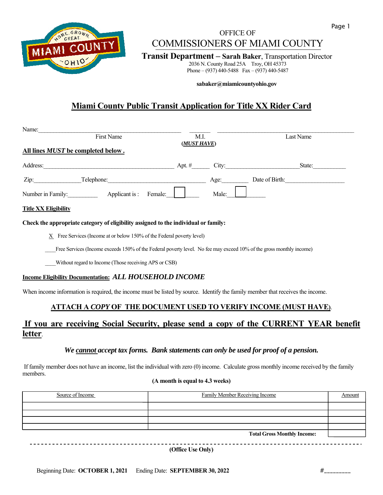

## **Page 1** Page 1 OFFICE OF COMMISSIONERS OF MIAMI COUNTY

**Transit Department – Sarah Baker**, Transportation Director 2036 N. County Road 25A Troy, OH 45373

Phone – (937) 440-5488 Fax – (937) 440-5487

 **sabaker@miamicountyohio.gov** 

## **Miami County Public Transit Application for Title XX Rider Card**

| Name:                                     |                |         |             |       |                |
|-------------------------------------------|----------------|---------|-------------|-------|----------------|
|                                           | First Name     |         | M.I.        |       | Last Name      |
| All lines <i>MUST</i> be completed below. |                |         | (MUST HAVE) |       |                |
| Address:                                  |                |         | Apt. $#$    | City: | State:         |
| Zip:                                      | Telephone:     |         |             | Age:  | Date of Birth: |
| Number in Family:                         | Applicant is : | Female: |             | Male: |                |

### **Title XX Eligibility**

**Check the appropriate category of eligibility assigned to the individual or family:** 

 $X$  Free Services (Income at or below 150% of the Federal poverty level)

Free Services (Income exceeds 150% of the Federal poverty level. No fee may exceed 10% of the gross monthly income)

\_\_\_\_Without regard to Income (Those receiving APS or CSB)

### **Income Eligibility Documentation:** *ALL HOUSEHOLD INCOME*

When income information is required, the income must be listed by source. Identify the family member that receives the income.

## **ATTACH A** *COPY* **OF THE DOCUMENT USED TO VERIFY INCOME (MUST HAVE)**.

## **If you are receiving Social Security, please send a copy of the CURRENT YEAR benefit letter**.

### *We cannot accept tax forms. Bank statements can only be used for proof of a pension.*

 If family member does not have an income, list the individual with zero (0) income. Calculate gross monthly income received by the family members.

### **(A month is equal to 4.3 weeks)**

| Source of Income | <b>Family Member Receiving Income</b> | Amount |
|------------------|---------------------------------------|--------|
|                  |                                       |        |
|                  |                                       |        |
|                  |                                       |        |
|                  |                                       |        |
|                  | <b>Total Gross Monthly Income:</b>    |        |

**(Office Use Only)**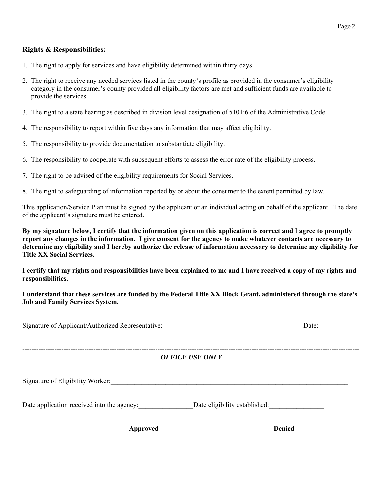## **Rights & Responsibilities:**

- 1. The right to apply for services and have eligibility determined within thirty days.
- 2. The right to receive any needed services listed in the county's profile as provided in the consumer's eligibility category in the consumer's county provided all eligibility factors are met and sufficient funds are available to provide the services.
- 3. The right to a state hearing as described in division level designation of 5101:6 of the Administrative Code.
- 4. The responsibility to report within five days any information that may affect eligibility.
- 5. The responsibility to provide documentation to substantiate eligibility.
- 6. The responsibility to cooperate with subsequent efforts to assess the error rate of the eligibility process.
- 7. The right to be advised of the eligibility requirements for Social Services.
- 8. The right to safeguarding of information reported by or about the consumer to the extent permitted by law.

This application/Service Plan must be signed by the applicant or an individual acting on behalf of the applicant. The date of the applicant's signature must be entered.

**By my signature below, I certify that the information given on this application is correct and I agree to promptly report any changes in the information. I give consent for the agency to make whatever contacts are necessary to determine my eligibility and I hereby authorize the release of information necessary to determine my eligibility for Title XX Social Services.** 

**I certify that my rights and responsibilities have been explained to me and I have received a copy of my rights and responsibilities.** 

**I understand that these services are funded by the Federal Title XX Block Grant, administered through the state's Job and Family Services System.** 

| Signature of Applicant/Authorized Representative: | Date. |
|---------------------------------------------------|-------|
|                                                   |       |

### --------------------------------------------------------------------------------------------------------------------------------------------------- *OFFICE USE ONLY*

Signature of Eligibility Worker:

Date application received into the agency: <br>Date eligibility established:

**Approved Denied**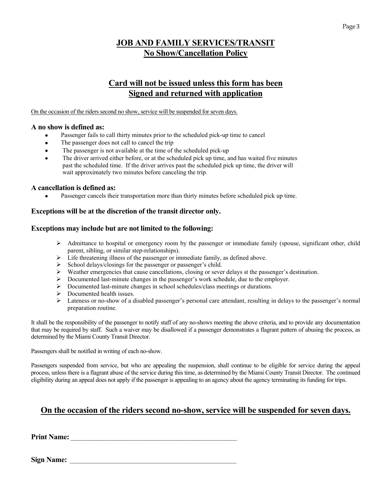## **JOB AND FAMILY SERVICES/TRANSIT No Show/Cancellation Policy**

## **Card will not be issued unless this form has been Signed and returned with application**

On the occasion of the riders second no show, service will be suspended for seven days.

### **A no show is defined as:**

- Passenger fails to call thirty minutes prior to the scheduled pick-up time to cancel
- The passenger does not call to cancel the trip
- The passenger is not available at the time of the scheduled pick-up
- The driver arrived either before, or at the scheduled pick up time, and has waited five minutes past the scheduled time. If the driver arrives past the scheduled pick up time, the driver will wait approximately two minutes before canceling the trip.

### **A cancellation is defined as:**

Passenger cancels their transportation more than thirty minutes before scheduled pick up time.

## **Exceptions will be at the discretion of the transit director only.**

### **Exceptions may include but are not limited to the following:**

- Admittance to hospital or emergency room by the passenger or immediate family (spouse, significant other, child parent, sibling, or similar step-relationships).
- $\triangleright$  Life threatening illness of the passenger or immediate family, as defined above.
- $\triangleright$  School delays/closings for the passenger or passenger's child.
- $\triangleright$  Weather emergencies that cause cancellations, closing or sever delays st the passenger's destination.
- Documented last-minute changes in the passenger's work schedule, due to the employer.
- Documented last-minute changes in school schedules/class meetings or durations.
- $\triangleright$  Documented health issues.
- Lateness or no-show of a disabled passenger's personal care attendant, resulting in delays to the passenger's normal preparation routine.

It shall be the responsibility of the passenger to notify staff of any no-shows meeting the above criteria, and to provide any documentation that may be required by staff. Such a waiver may be disallowed if a passenger demonstrates a flagrant pattern of abusing the process, as determined by the Miami County Transit Director.

Passengers shall be notified in writing of each no-show.

Passengers suspended from service, but who are appealing the suspension, shall continue to be eligible for service during the appeal process, unless there is a flagrant abuse of the service during this time, as determined by the Miami County Transit Director. The continued eligibility during an appeal does not apply if the passenger is appealing to an agency about the agency terminating its funding for trips.

## **On the occasion of the riders second no-show, service will be suspended for seven days.**

**Print Name:** \_\_\_\_\_\_\_\_\_\_\_\_\_\_\_\_\_\_\_\_\_\_\_\_\_\_\_\_\_\_\_\_\_\_\_\_\_\_\_\_\_\_\_\_\_\_\_\_\_\_\_\_\_\_\_\_

**Sign Name:**  $\blacksquare$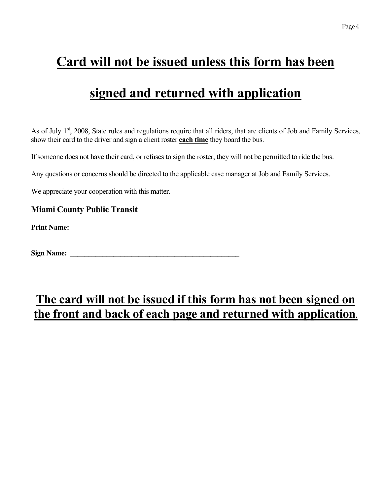# **Card will not be issued unless this form has been**

# **signed and returned with application**

As of July 1<sup>st</sup>, 2008, State rules and regulations require that all riders, that are clients of Job and Family Services, show their card to the driver and sign a client roster **each time** they board the bus.

If someone does not have their card, or refuses to sign the roster, they will not be permitted to ride the bus.

Any questions or concerns should be directed to the applicable case manager at Job and Family Services.

We appreciate your cooperation with this matter.

## **Miami County Public Transit**

**Print Name: \_\_\_\_\_\_\_\_\_\_\_\_\_\_\_\_\_\_\_\_\_\_\_\_\_\_\_\_\_\_\_\_\_\_\_\_\_\_\_\_\_\_\_\_\_\_\_** 

**Sign Name: \_\_\_\_\_\_\_\_\_\_\_\_\_\_\_\_\_\_\_\_\_\_\_\_\_\_\_\_\_\_\_\_\_\_\_\_\_\_\_\_\_\_\_\_\_\_\_** 

## **The card will not be issued if this form has not been signed on the front and back of each page and returned with application.**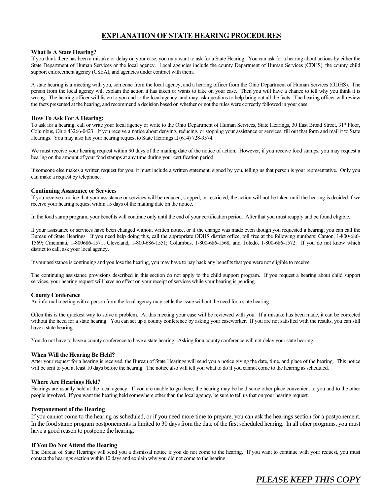## **EXPLANATION OF STATE HEARING PROCEDURES**

### **What Is A State Hearing?**

If you think there has been a mistake or delay on your case, you may want to ask for a State Hearing. You can ask for a hearing about actions by either the State Department of Human Services or the local agency. Local agencies include the county Department of Human Services (CDHS), the county child support enforcement agency (CSEA), and agencies under contract with them.

A state hearing is a meeting with you, someone from the local agency, and a hearing officer from the Ohio Department of Human Services (ODHS). The person from the local agency will explain the action it has taken or wants to take on your case. Then you will have a chance to tell why you think it is wrong. The hearing officer will listen to you and to the local agency, and may ask questions to help bring out all the facts. The hearing officer will review the facts presented at the hearing, and recommend a decision based on whether or not the rules were correctly followed in your case.

### **How To Ask For A Hearing:**

To ask for a hearing, call or write your local agency or write to the Ohio Department of Human Services, State Hearings, 30 East Broad Street, 31<sup>st</sup> Floor, Columbus, Ohio 43266-0423. If you receive a notice about denying, reducing, or stopping your assistance or services, fill out that form and mail it to State Hearings. You may also fax your hearing request to State Hearings at (614) 728-9574.

We must receive your hearing request within 90 days of the mailing date of the notice of action. However, if you receive food stamps, you may request a hearing on the amount of your food stamps at any time during your certification period.

If someone else makes a written request for you, it must include a written statement, signed by you, telling us that person is your representative. Only you can make a request by telephone.

### **Continuing Assistance or Services**

If you receive a notice that your assistance or services will be reduced, stopped, or restricted, the action will not be taken until the hearing is decided if we receive your hearing request within 15 days of the mailing date on the notice.

In the food stamp program, your benefits will continue only until the end of your certification period. After that you must reapply and be found eligible.

If your assistance or services have been changed without written notice, or if the change was made even though you requested a hearing, you can call the Bureau of State Hearings. If you need help doing this, call the appropriate ODHS district office, toll free at the following numbers: Canton, 1-800-686- 1569; Cincinnati, 1-800686-1571; Cleveland, 1-800-686-1551; Columbus, 1-800-686-1568, and Toledo, 1-800-686-1572. If you do not know which district to call, ask your local agency.

If your assistance is continuing and you lose the hearing, you may have to pay back any benefits that you were not eligible to receive.

The continuing assistance provisions described in this section do not apply to the child support program. If you request a hearing about child support services, your hearing request will have no effect on your receipt of services while your hearing is pending.

### **County Conference**

An informal meeting with a person from the local agency may settle the issue without the need for a state hearing.

Often this is the quickest way to solve a problem. At this meeting your case will be reviewed with you. If a mistake has been made, it can be corrected without the need for a state hearing. You can set up a county conference by asking your caseworker. If you are not satisfied with the results, you can still have a state hearing.

You do not have to have a county conference to have a state hearing. Asking for a county conference will not delay your state hearing.

### **When Will the Hearing Be Held?**

After your request for a hearing is received, the Bureau of State Hearings will send you a notice giving the date, time, and place of the hearing. This notice will be sent to you at least 10 days before the hearing. The notice also will tell you what to do if you cannot come to the hearing as scheduled.

### **Where Are Hearings Held?**

Hearings are usually held at the local agency. If you are unable to go there, the hearing may be held some other place convenient to you and to the other people involved. If you want the hearing held somewhere other than the local agency, be sure to tell us that on your hearing request.

### **Postponement of the Hearing**

If you cannot come to the hearing as scheduled, or if you need more time to prepare, you can ask the hearings section for a postponement. In the food stamp program postponements is limited to 30 days from the date of the first scheduled hearing. In all other programs, you must have a good reason to postpone the hearing.

### **If You Do Not Attend the Hearing**

The Bureau of State Hearings will send you a dismissal notice if you do not come to the hearing. If you want to continue with your request, you must contact the hearings section within 10 days and explain why you did not come to the hearing.

## *PLEASE KEEP THIS COPY*